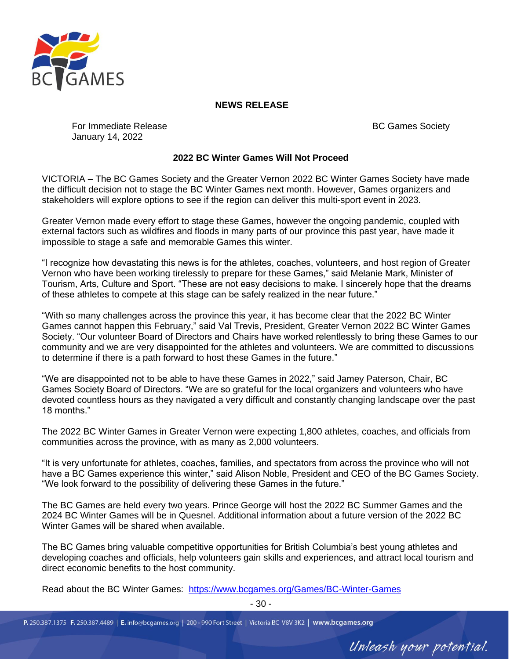

## **NEWS RELEASE**

For Immediate Release January 14, 2022

BC Games Society

Unleash your potential.

## **2022 BC Winter Games Will Not Proceed**

VICTORIA – The BC Games Society and the Greater Vernon 2022 BC Winter Games Society have made the difficult decision not to stage the BC Winter Games next month. However, Games organizers and stakeholders will explore options to see if the region can deliver this multi-sport event in 2023.

Greater Vernon made every effort to stage these Games, however the ongoing pandemic, coupled with external factors such as wildfires and floods in many parts of our province this past year, have made it impossible to stage a safe and memorable Games this winter.

"I recognize how devastating this news is for the athletes, coaches, volunteers, and host region of Greater Vernon who have been working tirelessly to prepare for these Games," said Melanie Mark, Minister of Tourism, Arts, Culture and Sport. "These are not easy decisions to make. I sincerely hope that the dreams of these athletes to compete at this stage can be safely realized in the near future."

"With so many challenges across the province this year, it has become clear that the 2022 BC Winter Games cannot happen this February," said Val Trevis, President, Greater Vernon 2022 BC Winter Games Society. "Our volunteer Board of Directors and Chairs have worked relentlessly to bring these Games to our community and we are very disappointed for the athletes and volunteers. We are committed to discussions to determine if there is a path forward to host these Games in the future."

"We are disappointed not to be able to have these Games in 2022," said Jamey Paterson, Chair, BC Games Society Board of Directors. "We are so grateful for the local organizers and volunteers who have devoted countless hours as they navigated a very difficult and constantly changing landscape over the past 18 months."

The 2022 BC Winter Games in Greater Vernon were expecting 1,800 athletes, coaches, and officials from communities across the province, with as many as 2,000 volunteers.

"It is very unfortunate for athletes, coaches, families, and spectators from across the province who will not have a BC Games experience this winter," said Alison Noble, President and CEO of the BC Games Society. "We look forward to the possibility of delivering these Games in the future."

The BC Games are held every two years. Prince George will host the 2022 BC Summer Games and the 2024 BC Winter Games will be in Quesnel. Additional information about a future version of the 2022 BC Winter Games will be shared when available.

The BC Games bring valuable competitive opportunities for British Columbia's best young athletes and developing coaches and officials, help volunteers gain skills and experiences, and attract local tourism and direct economic benefits to the host community.

Read about the BC Winter Games: <https://www.bcgames.org/Games/BC-Winter-Games>

- 30 -

P. 250.387.1375 F. 250.387.4489 | E. info@bcgames.org | 200 - 990 Fort Street | Victoria BC V8V 3K2 | www.bcgames.org